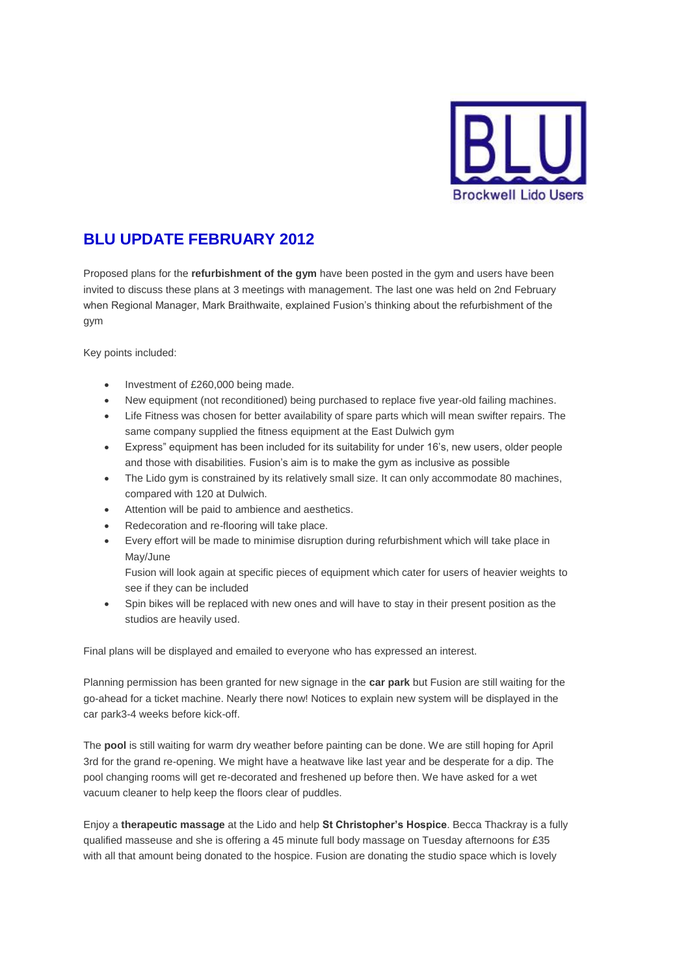

## **BLU UPDATE FEBRUARY 2012**

Proposed plans for the **refurbishment of the gym** have been posted in the gym and users have been invited to discuss these plans at 3 meetings with management. The last one was held on 2nd February when Regional Manager, Mark Braithwaite, explained Fusion's thinking about the refurbishment of the gym

Key points included:

- Investment of £260,000 being made.
- New equipment (not reconditioned) being purchased to replace five year-old failing machines.
- Life Fitness was chosen for better availability of spare parts which will mean swifter repairs. The same company supplied the fitness equipment at the East Dulwich gym
- Express" equipment has been included for its suitability for under 16's, new users, older people and those with disabilities. Fusion's aim is to make the gym as inclusive as possible
- The Lido gym is constrained by its relatively small size. It can only accommodate 80 machines, compared with 120 at Dulwich.
- Attention will be paid to ambience and aesthetics.
- Redecoration and re-flooring will take place.
- Every effort will be made to minimise disruption during refurbishment which will take place in May/June

Fusion will look again at specific pieces of equipment which cater for users of heavier weights to see if they can be included

 Spin bikes will be replaced with new ones and will have to stay in their present position as the studios are heavily used.

Final plans will be displayed and emailed to everyone who has expressed an interest.

Planning permission has been granted for new signage in the **car park** but Fusion are still waiting for the go-ahead for a ticket machine. Nearly there now! Notices to explain new system will be displayed in the car park3-4 weeks before kick-off.

The **pool** is still waiting for warm dry weather before painting can be done. We are still hoping for April 3rd for the grand re-opening. We might have a heatwave like last year and be desperate for a dip. The pool changing rooms will get re-decorated and freshened up before then. We have asked for a wet vacuum cleaner to help keep the floors clear of puddles.

Enjoy a **therapeutic massage** at the Lido and help **St Christopher's Hospice**. Becca Thackray is a fully qualified masseuse and she is offering a 45 minute full body massage on Tuesday afternoons for £35 with all that amount being donated to the hospice. Fusion are donating the studio space which is lovely